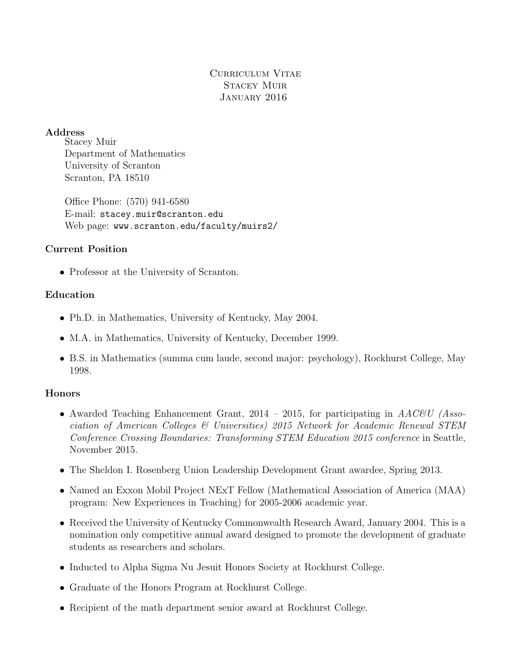# Curriculum Vitae Stacey Muir January 2016

#### Address

Stacey Muir Department of Mathematics University of Scranton Scranton, PA 18510

Office Phone: (570) 941-6580 E-mail: stacey.muir@scranton.edu Web page: www.scranton.edu/faculty/muirs2/

## Current Position

• Professor at the University of Scranton.

## Education

- Ph.D. in Mathematics, University of Kentucky, May 2004.
- M.A. in Mathematics, University of Kentucky, December 1999.
- B.S. in Mathematics (summa cum laude, second major: psychology), Rockhurst College, May 1998.

## **Honors**

- Awarded Teaching Enhancement Grant,  $2014 2015$ , for participating in  $AACEU$  (Association of American Colleges & Universities) 2015 Network for Academic Renewal STEM Conference Crossing Boundaries: Transforming STEM Education 2015 conference in Seattle, November 2015.
- The Sheldon I. Rosenberg Union Leadership Development Grant awardee, Spring 2013.
- Named an Exxon Mobil Project NExT Fellow (Mathematical Association of America (MAA) program: New Experiences in Teaching) for 2005-2006 academic year.
- Received the University of Kentucky Commonwealth Research Award, January 2004. This is a nomination only competitive annual award designed to promote the development of graduate students as researchers and scholars.
- Inducted to Alpha Sigma Nu Jesuit Honors Society at Rockhurst College.
- Graduate of the Honors Program at Rockhurst College.
- Recipient of the math department senior award at Rockhurst College.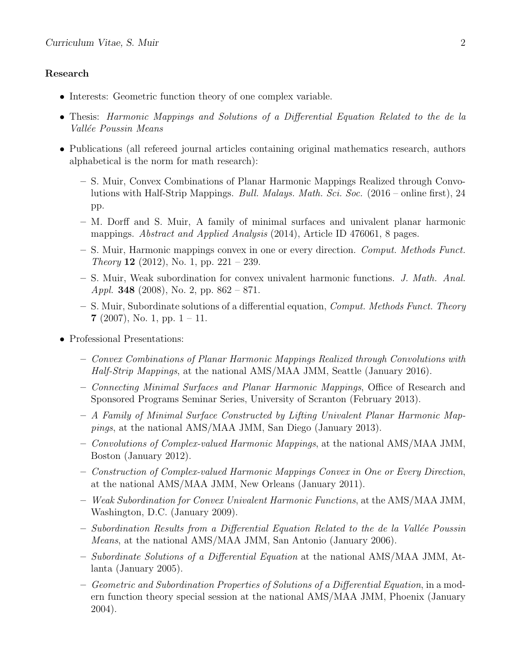#### Research

- Interests: Geometric function theory of one complex variable.
- Thesis: Harmonic Mappings and Solutions of a Differential Equation Related to the de la Vallée Poussin Means
- Publications (all refereed journal articles containing original mathematics research, authors alphabetical is the norm for math research):
	- S. Muir, Convex Combinations of Planar Harmonic Mappings Realized through Convolutions with Half-Strip Mappings. Bull. Malays. Math. Sci. Soc. (2016 – online first), 24 pp.
	- M. Dorff and S. Muir, A family of minimal surfaces and univalent planar harmonic mappings. *Abstract and Applied Analysis* (2014), Article ID 476061, 8 pages.
	- S. Muir, Harmonic mappings convex in one or every direction. Comput. Methods Funct. *Theory* **12** (2012), No. 1, pp. 221 – 239.
	- S. Muir, Weak subordination for convex univalent harmonic functions. J. Math. Anal. Appl. 348 (2008), No. 2, pp.  $862 - 871$ .
	- $-$  S. Muir, Subordinate solutions of a differential equation, *Comput. Methods Funct. Theory* 7 (2007), No. 1, pp.  $1 - 11$ .
- Professional Presentations:
	- Convex Combinations of Planar Harmonic Mappings Realized through Convolutions with Half-Strip Mappings, at the national AMS/MAA JMM, Seattle (January 2016).
	- Connecting Minimal Surfaces and Planar Harmonic Mappings, Office of Research and Sponsored Programs Seminar Series, University of Scranton (February 2013).
	- A Family of Minimal Surface Constructed by Lifting Univalent Planar Harmonic Mappings, at the national AMS/MAA JMM, San Diego (January 2013).
	- Convolutions of Complex-valued Harmonic Mappings, at the national AMS/MAA JMM, Boston (January 2012).
	- Construction of Complex-valued Harmonic Mappings Convex in One or Every Direction, at the national AMS/MAA JMM, New Orleans (January 2011).
	- Weak Subordination for Convex Univalent Harmonic Functions, at the AMS/MAA JMM, Washington, D.C. (January 2009).
	- $-$  Subordination Results from a Differential Equation Related to the de la Vallée Poussin Means, at the national AMS/MAA JMM, San Antonio (January 2006).
	- Subordinate Solutions of a Differential Equation at the national AMS/MAA JMM, Atlanta (January 2005).
	- Geometric and Subordination Properties of Solutions of a Differential Equation, in a modern function theory special session at the national AMS/MAA JMM, Phoenix (January 2004).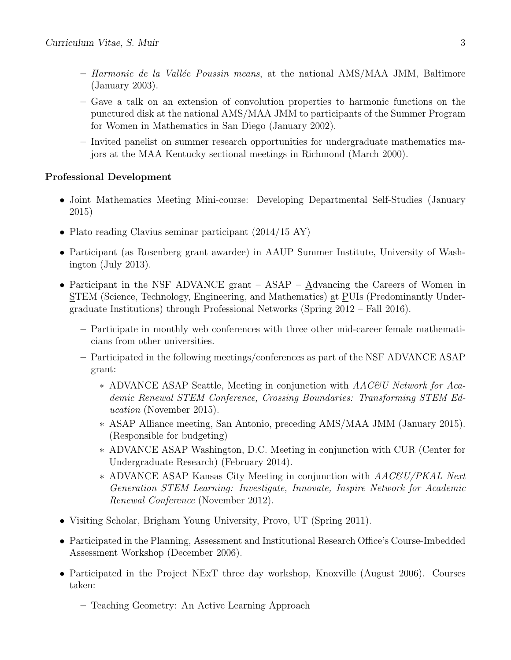- $-$  Harmonic de la Vallée Poussin means, at the national AMS/MAA JMM, Baltimore (January 2003).
- Gave a talk on an extension of convolution properties to harmonic functions on the punctured disk at the national AMS/MAA JMM to participants of the Summer Program for Women in Mathematics in San Diego (January 2002).
- Invited panelist on summer research opportunities for undergraduate mathematics majors at the MAA Kentucky sectional meetings in Richmond (March 2000).

## Professional Development

- Joint Mathematics Meeting Mini-course: Developing Departmental Self-Studies (January 2015)
- Plato reading Clavius seminar participant (2014/15 AY)
- Participant (as Rosenberg grant awardee) in AAUP Summer Institute, University of Washington (July 2013).
- Participant in the NSF ADVANCE grant ASAP Advancing the Careers of Women in STEM (Science, Technology, Engineering, and Mathematics) at PUIs (Predominantly Undergraduate Institutions) through Professional Networks (Spring 2012 – Fall 2016).
	- Participate in monthly web conferences with three other mid-career female mathematicians from other universities.
	- Participated in the following meetings/conferences as part of the NSF ADVANCE ASAP grant:
		- ∗ ADVANCE ASAP Seattle, Meeting in conjunction with AAC&U Network for Academic Renewal STEM Conference, Crossing Boundaries: Transforming STEM Education (November 2015).
		- ∗ ASAP Alliance meeting, San Antonio, preceding AMS/MAA JMM (January 2015). (Responsible for budgeting)
		- ∗ ADVANCE ASAP Washington, D.C. Meeting in conjunction with CUR (Center for Undergraduate Research) (February 2014).
		- ∗ ADVANCE ASAP Kansas City Meeting in conjunction with AAC&U/PKAL Next Generation STEM Learning: Investigate, Innovate, Inspire Network for Academic Renewal Conference (November 2012).
- Visiting Scholar, Brigham Young University, Provo, UT (Spring 2011).
- Participated in the Planning, Assessment and Institutional Research Office's Course-Imbedded Assessment Workshop (December 2006).
- Participated in the Project NExT three day workshop, Knoxville (August 2006). Courses taken:
	- Teaching Geometry: An Active Learning Approach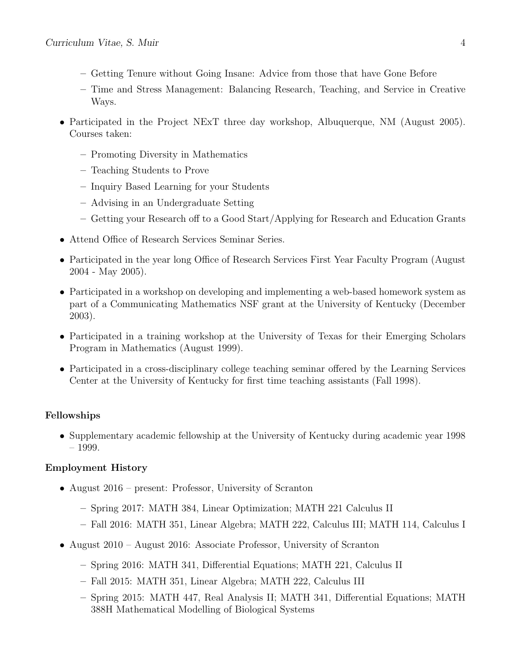- Getting Tenure without Going Insane: Advice from those that have Gone Before
- Time and Stress Management: Balancing Research, Teaching, and Service in Creative Ways.
- Participated in the Project NExT three day workshop, Albuquerque, NM (August 2005). Courses taken:
	- Promoting Diversity in Mathematics
	- Teaching Students to Prove
	- Inquiry Based Learning for your Students
	- Advising in an Undergraduate Setting
	- Getting your Research off to a Good Start/Applying for Research and Education Grants
- Attend Office of Research Services Seminar Series.
- Participated in the year long Office of Research Services First Year Faculty Program (August 2004 - May 2005).
- Participated in a workshop on developing and implementing a web-based homework system as part of a Communicating Mathematics NSF grant at the University of Kentucky (December 2003).
- Participated in a training workshop at the University of Texas for their Emerging Scholars Program in Mathematics (August 1999).
- Participated in a cross-disciplinary college teaching seminar offered by the Learning Services Center at the University of Kentucky for first time teaching assistants (Fall 1998).

#### Fellowships

• Supplementary academic fellowship at the University of Kentucky during academic year 1998 – 1999.

#### Employment History

- August 2016 present: Professor, University of Scranton
	- Spring 2017: MATH 384, Linear Optimization; MATH 221 Calculus II
	- Fall 2016: MATH 351, Linear Algebra; MATH 222, Calculus III; MATH 114, Calculus I
- August 2010 August 2016: Associate Professor, University of Scranton
	- Spring 2016: MATH 341, Differential Equations; MATH 221, Calculus II
	- Fall 2015: MATH 351, Linear Algebra; MATH 222, Calculus III
	- Spring 2015: MATH 447, Real Analysis II; MATH 341, Differential Equations; MATH 388H Mathematical Modelling of Biological Systems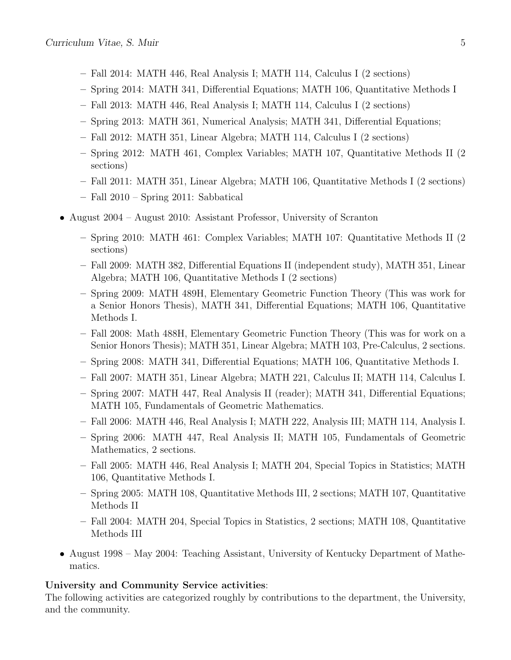- Fall 2014: MATH 446, Real Analysis I; MATH 114, Calculus I (2 sections)
- Spring 2014: MATH 341, Differential Equations; MATH 106, Quantitative Methods I
- Fall 2013: MATH 446, Real Analysis I; MATH 114, Calculus I (2 sections)
- Spring 2013: MATH 361, Numerical Analysis; MATH 341, Differential Equations;
- Fall 2012: MATH 351, Linear Algebra; MATH 114, Calculus I (2 sections)
- Spring 2012: MATH 461, Complex Variables; MATH 107, Quantitative Methods II (2 sections)
- Fall 2011: MATH 351, Linear Algebra; MATH 106, Quantitative Methods I (2 sections)
- Fall 2010 Spring 2011: Sabbatical
- August 2004 August 2010: Assistant Professor, University of Scranton
	- Spring 2010: MATH 461: Complex Variables; MATH 107: Quantitative Methods II (2 sections)
	- Fall 2009: MATH 382, Differential Equations II (independent study), MATH 351, Linear Algebra; MATH 106, Quantitative Methods I (2 sections)
	- Spring 2009: MATH 489H, Elementary Geometric Function Theory (This was work for a Senior Honors Thesis), MATH 341, Differential Equations; MATH 106, Quantitative Methods I.
	- Fall 2008: Math 488H, Elementary Geometric Function Theory (This was for work on a Senior Honors Thesis); MATH 351, Linear Algebra; MATH 103, Pre-Calculus, 2 sections.
	- Spring 2008: MATH 341, Differential Equations; MATH 106, Quantitative Methods I.
	- Fall 2007: MATH 351, Linear Algebra; MATH 221, Calculus II; MATH 114, Calculus I.
	- Spring 2007: MATH 447, Real Analysis II (reader); MATH 341, Differential Equations; MATH 105, Fundamentals of Geometric Mathematics.
	- Fall 2006: MATH 446, Real Analysis I; MATH 222, Analysis III; MATH 114, Analysis I.
	- Spring 2006: MATH 447, Real Analysis II; MATH 105, Fundamentals of Geometric Mathematics, 2 sections.
	- Fall 2005: MATH 446, Real Analysis I; MATH 204, Special Topics in Statistics; MATH 106, Quantitative Methods I.
	- Spring 2005: MATH 108, Quantitative Methods III, 2 sections; MATH 107, Quantitative Methods II
	- Fall 2004: MATH 204, Special Topics in Statistics, 2 sections; MATH 108, Quantitative Methods III
- August 1998 May 2004: Teaching Assistant, University of Kentucky Department of Mathematics.

#### University and Community Service activities:

The following activities are categorized roughly by contributions to the department, the University, and the community.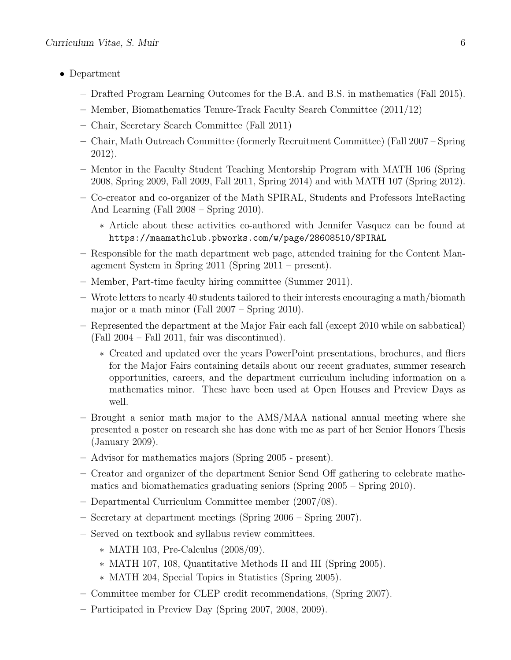- Department
	- Drafted Program Learning Outcomes for the B.A. and B.S. in mathematics (Fall 2015).
	- Member, Biomathematics Tenure-Track Faculty Search Committee (2011/12)
	- Chair, Secretary Search Committee (Fall 2011)
	- Chair, Math Outreach Committee (formerly Recruitment Committee) (Fall 2007 Spring 2012).
	- Mentor in the Faculty Student Teaching Mentorship Program with MATH 106 (Spring 2008, Spring 2009, Fall 2009, Fall 2011, Spring 2014) and with MATH 107 (Spring 2012).
	- Co-creator and co-organizer of the Math SPIRAL, Students and Professors InteRacting And Learning (Fall 2008 – Spring 2010).
		- ∗ Article about these activities co-authored with Jennifer Vasquez can be found at https://maamathclub.pbworks.com/w/page/28608510/SPIRAL
	- Responsible for the math department web page, attended training for the Content Management System in Spring 2011 (Spring 2011 – present).
	- Member, Part-time faculty hiring committee (Summer 2011).
	- Wrote letters to nearly 40 students tailored to their interests encouraging a math/biomath major or a math minor (Fall 2007 – Spring 2010).
	- Represented the department at the Major Fair each fall (except 2010 while on sabbatical) (Fall 2004 – Fall 2011, fair was discontinued).
		- ∗ Created and updated over the years PowerPoint presentations, brochures, and fliers for the Major Fairs containing details about our recent graduates, summer research opportunities, careers, and the department curriculum including information on a mathematics minor. These have been used at Open Houses and Preview Days as well.
	- Brought a senior math major to the AMS/MAA national annual meeting where she presented a poster on research she has done with me as part of her Senior Honors Thesis (January 2009).
	- Advisor for mathematics majors (Spring 2005 present).
	- Creator and organizer of the department Senior Send Off gathering to celebrate mathematics and biomathematics graduating seniors (Spring 2005 – Spring 2010).
	- Departmental Curriculum Committee member (2007/08).
	- Secretary at department meetings (Spring 2006 Spring 2007).
	- Served on textbook and syllabus review committees.
		- ∗ MATH 103, Pre-Calculus (2008/09).
		- ∗ MATH 107, 108, Quantitative Methods II and III (Spring 2005).
		- ∗ MATH 204, Special Topics in Statistics (Spring 2005).
	- Committee member for CLEP credit recommendations, (Spring 2007).
	- Participated in Preview Day (Spring 2007, 2008, 2009).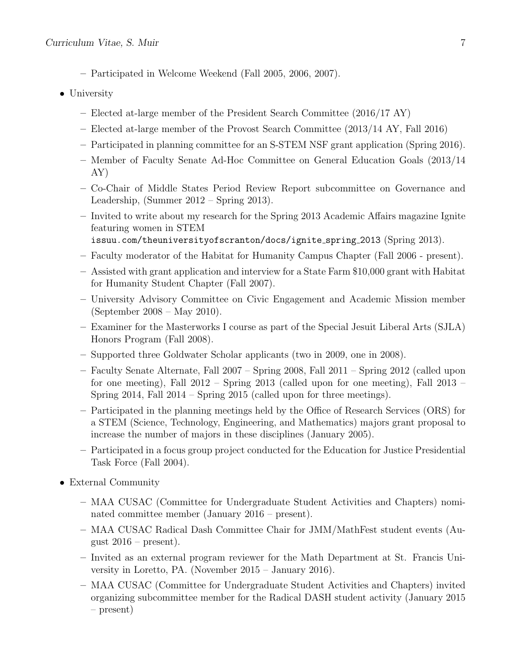- Participated in Welcome Weekend (Fall 2005, 2006, 2007).
- University
	- Elected at-large member of the President Search Committee (2016/17 AY)
	- Elected at-large member of the Provost Search Committee (2013/14 AY, Fall 2016)
	- Participated in planning committee for an S-STEM NSF grant application (Spring 2016).
	- Member of Faculty Senate Ad-Hoc Committee on General Education Goals (2013/14 AY)
	- Co-Chair of Middle States Period Review Report subcommittee on Governance and Leadership, (Summer 2012 – Spring 2013).
	- Invited to write about my research for the Spring 2013 Academic Affairs magazine Ignite featuring women in STEM issuu.com/theuniversityofscranton/docs/ignite spring 2013 (Spring 2013).
	-
	- Faculty moderator of the Habitat for Humanity Campus Chapter (Fall 2006 present).
	- Assisted with grant application and interview for a State Farm \$10,000 grant with Habitat for Humanity Student Chapter (Fall 2007).
	- University Advisory Committee on Civic Engagement and Academic Mission member (September 2008 – May 2010).
	- Examiner for the Masterworks I course as part of the Special Jesuit Liberal Arts (SJLA) Honors Program (Fall 2008).
	- Supported three Goldwater Scholar applicants (two in 2009, one in 2008).
	- Faculty Senate Alternate, Fall 2007 Spring 2008, Fall 2011 Spring 2012 (called upon for one meeting), Fall 2012 – Spring 2013 (called upon for one meeting), Fall 2013 – Spring 2014, Fall 2014 – Spring 2015 (called upon for three meetings).
	- Participated in the planning meetings held by the Office of Research Services (ORS) for a STEM (Science, Technology, Engineering, and Mathematics) majors grant proposal to increase the number of majors in these disciplines (January 2005).
	- Participated in a focus group project conducted for the Education for Justice Presidential Task Force (Fall 2004).
- External Community
	- MAA CUSAC (Committee for Undergraduate Student Activities and Chapters) nominated committee member (January 2016 – present).
	- MAA CUSAC Radical Dash Committee Chair for JMM/MathFest student events (August  $2016$  – present).
	- Invited as an external program reviewer for the Math Department at St. Francis University in Loretto, PA. (November 2015 – January 2016).
	- MAA CUSAC (Committee for Undergraduate Student Activities and Chapters) invited organizing subcommittee member for the Radical DASH student activity (January 2015 – present)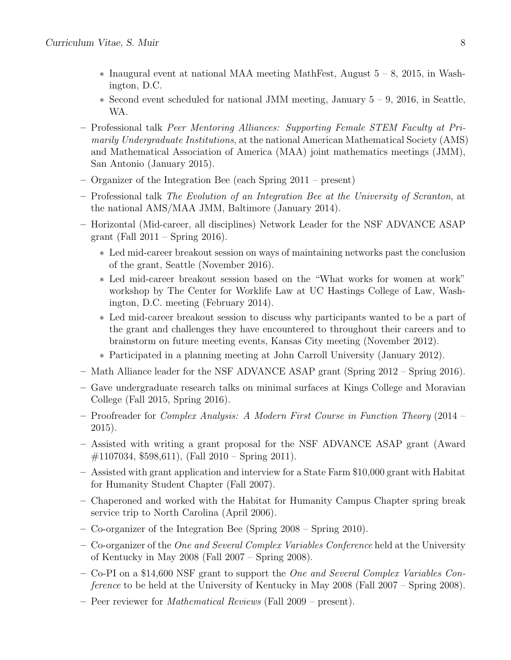- ∗ Inaugural event at national MAA meeting MathFest, August 5 8, 2015, in Washington, D.C.
- ∗ Second event scheduled for national JMM meeting, January 5 9, 2016, in Seattle, WA.
- Professional talk Peer Mentoring Alliances: Supporting Female STEM Faculty at Primarily Undergraduate Institutions, at the national American Mathematical Society (AMS) and Mathematical Association of America (MAA) joint mathematics meetings (JMM), San Antonio (January 2015).
- Organizer of the Integration Bee (each Spring 2011 present)
- Professional talk The Evolution of an Integration Bee at the University of Scranton, at the national AMS/MAA JMM, Baltimore (January 2014).
- Horizontal (Mid-career, all disciplines) Network Leader for the NSF ADVANCE ASAP grant (Fall 2011 – Spring 2016).
	- ∗ Led mid-career breakout session on ways of maintaining networks past the conclusion of the grant, Seattle (November 2016).
	- ∗ Led mid-career breakout session based on the "What works for women at work" workshop by The Center for Worklife Law at UC Hastings College of Law, Washington, D.C. meeting (February 2014).
	- ∗ Led mid-career breakout session to discuss why participants wanted to be a part of the grant and challenges they have encountered to throughout their careers and to brainstorm on future meeting events, Kansas City meeting (November 2012).
	- ∗ Participated in a planning meeting at John Carroll University (January 2012).
- Math Alliance leader for the NSF ADVANCE ASAP grant (Spring 2012 Spring 2016).
- Gave undergraduate research talks on minimal surfaces at Kings College and Moravian College (Fall 2015, Spring 2016).
- Proofreader for Complex Analysis: A Modern First Course in Function Theory (2014 2015).
- Assisted with writing a grant proposal for the NSF ADVANCE ASAP grant (Award #1107034, \$598,611), (Fall 2010 – Spring 2011).
- Assisted with grant application and interview for a State Farm \$10,000 grant with Habitat for Humanity Student Chapter (Fall 2007).
- Chaperoned and worked with the Habitat for Humanity Campus Chapter spring break service trip to North Carolina (April 2006).
- Co-organizer of the Integration Bee (Spring 2008 Spring 2010).
- Co-organizer of the One and Several Complex Variables Conference held at the University of Kentucky in May 2008 (Fall 2007 – Spring 2008).
- Co-PI on a \$14,600 NSF grant to support the One and Several Complex Variables Conference to be held at the University of Kentucky in May 2008 (Fall 2007 – Spring 2008).
- Peer reviewer for Mathematical Reviews (Fall 2009 present).